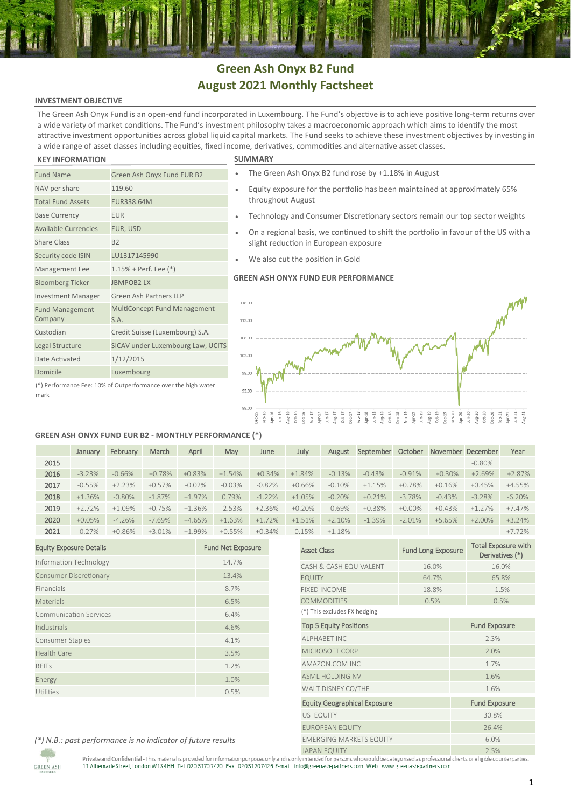# **Green Ash Onyx B2 Fund August 2021 Monthly Factsheet**

## **INVESTMENT OBJECTIVE**

The Green Ash Onyx Fund is an open-end fund incorporated in Luxembourg. The Fund's objective is to achieve positive long-term returns over a wide variety of market conditions. The Fund's investment philosophy takes a macroeconomic approach which aims to identify the most attractive investment opportunities across global liquid capital markets. The Fund seeks to achieve these investment objectives by investing in a wide range of asset classes including equities, fixed income, derivatives, commodities and alternative asset classes.

## **KEY INFORMATION SUMMARY**

mark

| $\cdots$                                                       |                                      |  |  |  |
|----------------------------------------------------------------|--------------------------------------|--|--|--|
| <b>Fund Name</b>                                               | Green Ash Onyx Fund EUR B2           |  |  |  |
| NAV per share                                                  | 119.60                               |  |  |  |
| <b>Total Fund Assets</b>                                       | EUR338.64M                           |  |  |  |
| <b>Base Currency</b>                                           | <b>EUR</b>                           |  |  |  |
| <b>Available Currencies</b>                                    | EUR, USD                             |  |  |  |
| <b>Share Class</b>                                             | B <sub>2</sub>                       |  |  |  |
| Security code ISIN                                             | LU1317145990                         |  |  |  |
| Management Fee                                                 | $1.15%$ + Perf. Fee $(*)$            |  |  |  |
| <b>Bloomberg Ticker</b>                                        | <b>JBMPOB2LX</b>                     |  |  |  |
| <b>Investment Manager</b>                                      | Green Ash Partners LLP               |  |  |  |
| <b>Fund Management</b><br>Company                              | MultiConcept Fund Management<br>S.A. |  |  |  |
| Custodian                                                      | Credit Suisse (Luxembourg) S.A.      |  |  |  |
| Legal Structure                                                | SICAV under Luxembourg Law, UCITS    |  |  |  |
| Date Activated                                                 | 1/12/2015                            |  |  |  |
| Domicile                                                       | Luxembourg                           |  |  |  |
| (*) Performance Fee: 10% of Outperformance over the high water |                                      |  |  |  |

- The Green Ash Onyx B2 fund rose by +1.18% in August
- Equity exposure for the portfolio has been maintained at approximately 65% throughout August
- Technology and Consumer Discretionary sectors remain our top sector weights
- On a regional basis, we continued to shift the portfolio in favour of the US with a slight reduction in European exposure
- We also cut the position in Gold

## **GREEN ASH ONYX FUND EUR PERFORMANCE**



## **GREEN ASH ONYX FUND EUR B2 - MONTHLY PERFORMANCE (\*)**

|      | January  | February | March     | April    | May      | June     | July     | August   | September | October   |           | November December | Year      |
|------|----------|----------|-----------|----------|----------|----------|----------|----------|-----------|-----------|-----------|-------------------|-----------|
| 2015 |          |          |           |          |          |          |          |          |           |           |           | $-0.80\%$         |           |
| 2016 | $-3.23%$ | $-0.66%$ | $+0.78%$  | $+0.83%$ | $+1.54%$ | $+0.34%$ | $+1.84%$ | $-0.13%$ | $-0.43%$  | $-0.91%$  | $+0.30\%$ | $+2.69%$          | $+2.87%$  |
| 2017 | $-0.55%$ | $+2.23%$ | $+0.57%$  | $-0.02%$ | $-0.03%$ | $-0.82%$ | $+0.66%$ | $-0.10%$ | $+1.15%$  | $+0.78%$  | $+0.16%$  | $+0.45%$          | $+4.55%$  |
| 2018 | $+1.36%$ | $-0.80%$ | $-1.87%$  | $+1.97%$ | 0.79%    | $-1.22%$ | $+1.05%$ | $-0.20%$ | $+0.21%$  | $-3.78%$  | $-0.43%$  | $-3.28%$          | $-6.20\%$ |
| 2019 | $+2.72%$ | $+1.09%$ | $+0.75%$  | $+1.36%$ | $-2.53%$ | $+2.36%$ | $+0.20%$ | $-0.69%$ | $+0.38%$  | $+0.00\%$ | $+0.43%$  | $+1.27%$          | $+7.47%$  |
| 2020 | $+0.05%$ | $-4.26%$ | $-7.69\%$ | $+4.65%$ | $+1.63%$ | $+1.72%$ | $+1.51%$ | $+2.10%$ | $-1.39%$  | $-2.01%$  | $+5.65%$  | $+2.00%$          | $+3.24%$  |
| 2021 | $-0.27%$ | $+0.86%$ | $+3.01%$  | $+1.99%$ | $+0.55%$ | $+0.34%$ | $-0.15%$ | $+1.18%$ |           |           |           |                   | $+7.72%$  |

| <b>Equity Exposure Details</b> | <b>Fund Net Exposure</b> |
|--------------------------------|--------------------------|
| Information Technology         | 14.7%                    |
| <b>Consumer Discretionary</b>  | 13.4%                    |
| Financials                     | 8.7%                     |
| Materials                      | 6.5%                     |
| <b>Communication Services</b>  | 6.4%                     |
| Industrials                    | 4.6%                     |
| Consumer Staples               | 4.1%                     |
| <b>Health Care</b>             | 3.5%                     |
| <b>REITS</b>                   | 1.2%                     |
| Energy                         | 1.0%                     |
| Utilities                      | 0.5%                     |

| 1.5%<br>$+1.18%$                    |                           | $+7.72%$                                      |  |  |  |
|-------------------------------------|---------------------------|-----------------------------------------------|--|--|--|
| <b>Asset Class</b>                  | <b>Fund Long Exposure</b> | <b>Total Exposure with</b><br>Derivatives (*) |  |  |  |
| CASH & CASH EQUIVALENT              | 16.0%                     | 16.0%                                         |  |  |  |
| <b>EQUITY</b>                       | 64.7%                     | 65.8%                                         |  |  |  |
| <b>FIXED INCOME</b>                 | 18.8%                     | $-1.5%$                                       |  |  |  |
| <b>COMMODITIES</b>                  | 0.5%                      | 0.5%                                          |  |  |  |
| (*) This excludes FX hedging        |                           |                                               |  |  |  |
| <b>Top 5 Equity Positions</b>       |                           | <b>Fund Exposure</b>                          |  |  |  |
| <b>ALPHABET INC</b>                 |                           | 2.3%                                          |  |  |  |
| MICROSOFT CORP                      |                           | 2.0%                                          |  |  |  |
| AMAZON.COM INC                      |                           | 1.7%                                          |  |  |  |
| <b>ASML HOLDING NV</b>              | 1.6%                      |                                               |  |  |  |
| WALT DISNEY CO/THE                  |                           | 1.6%                                          |  |  |  |
| <b>Equity Geographical Exposure</b> |                           | <b>Fund Exposure</b>                          |  |  |  |
| US EQUITY                           |                           | 30.8%                                         |  |  |  |
| <b>EUROPEAN EQUITY</b>              |                           | 26.4%                                         |  |  |  |
| <b>EMERGING MARKETS EQUITY</b>      |                           | 6.0%                                          |  |  |  |
| IADAN EQUITY                        |                           | 7.50/                                         |  |  |  |

*(\*) N.B.: past performance is no indicator of future results*

Private and Confidential-This material is provided for information purposes only and is only intended for persons who would be categorised as professional clients ore ligible counterparties.<br>11 Albemarle Street, London W1S

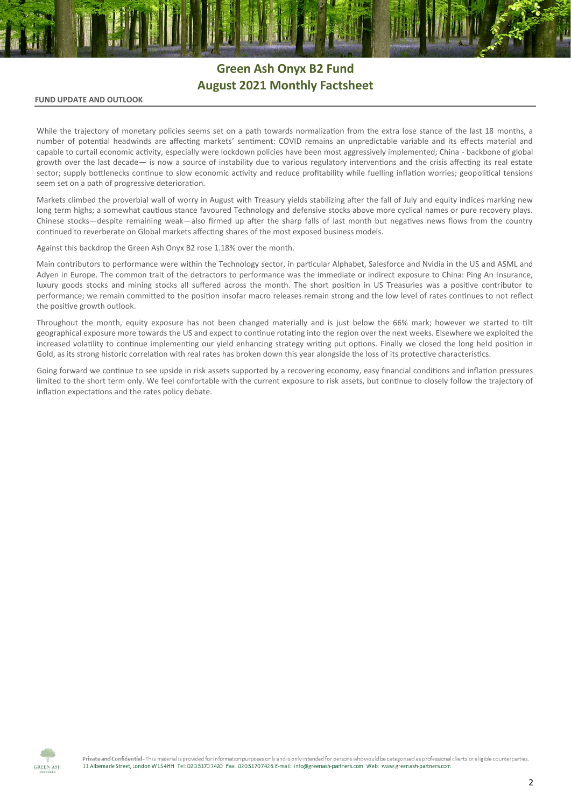# **Green Ash Onyx B2 Fund August 2021 Monthly Factsheet**

### **FUND UPDATE AND OUTLOOK**

While the trajectory of monetary policies seems set on a path towards normalization from the extra lose stance of the last 18 months, a number of potential headwinds are affecting markets' sentiment: COVID remains an unpredictable variable and its effects material and capable to curtail economic activity, especially were lockdown policies have been most aggressively implemented; China - backbone of global growth over the last decade— is now a source of instability due to various regulatory interventions and the crisis affecting its real estate sector; supply bottlenecks continue to slow economic activity and reduce profitability while fuelling inflation worries; geopolitical tensions seem set on a path of progressive deterioration.

Markets climbed the proverbial wall of worry in August with Treasury yields stabilizing after the fall of July and equity indices marking new long term highs; a somewhat cautious stance favoured Technology and defensive stocks above more cyclical names or pure recovery plays. Chinese stocks—despite remaining weak—also firmed up after the sharp falls of last month but negatives news flows from the country continued to reverberate on Global markets affecting shares of the most exposed business models.

Against this backdrop the Green Ash Onyx B2 rose 1.18% over the month.

Main contributors to performance were within the Technology sector, in particular Alphabet, Salesforce and Nvidia in the US and ASML and Adyen in Europe. The common trait of the detractors to performance was the immediate or indirect exposure to China: Ping An Insurance, luxury goods stocks and mining stocks all suffered across the month. The short position in US Treasuries was a positive contributor to performance; we remain committed to the position insofar macro releases remain strong and the low level of rates continues to not reflect the positive growth outlook.

Throughout the month, equity exposure has not been changed materially and is just below the 66% mark; however we started to tilt geographical exposure more towards the US and expect to continue rotating into the region over the next weeks. Elsewhere we exploited the increased volatility to continue implementing our yield enhancing strategy writing put options. Finally we closed the long held position in Gold, as its strong historic correlation with real rates has broken down this year alongside the loss of its protective characteristics.

Going forward we continue to see upside in risk assets supported by a recovering economy, easy financial conditions and inflation pressures limited to the short term only. We feel comfortable with the current exposure to risk assets, but continue to closely follow the trajectory of inflation expectations and the rates policy debate.